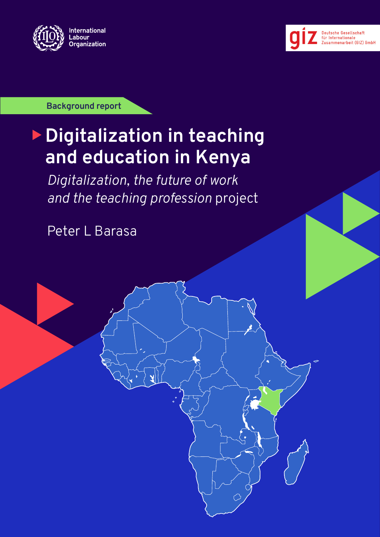



**Background report**

# **Digitalization in teaching and education in Kenya**

*Digitalization, the future of work and the teaching profession* project

Peter L Barasa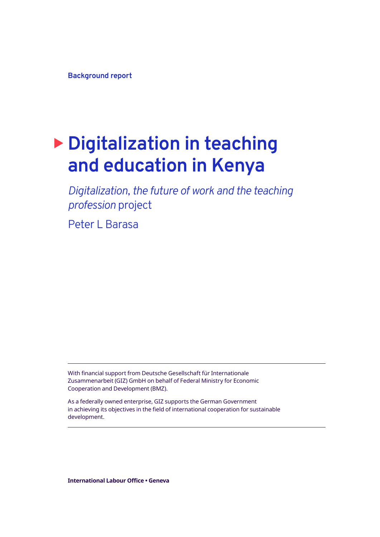**Background report**

# **Digitalization in teaching and education in Kenya**

*Digitalization, the future of work and the teaching profession* project

Peter L Barasa

With financial support from Deutsche Gesellschaft für Internationale Zusammenarbeit (GIZ) GmbH on behalf of Federal Ministry for Economic Cooperation and Development (BMZ).

As a federally owned enterprise, GIZ supports the German Government in achieving its objectives in the field of international cooperation for sustainable development.

**International Labour Office • Geneva**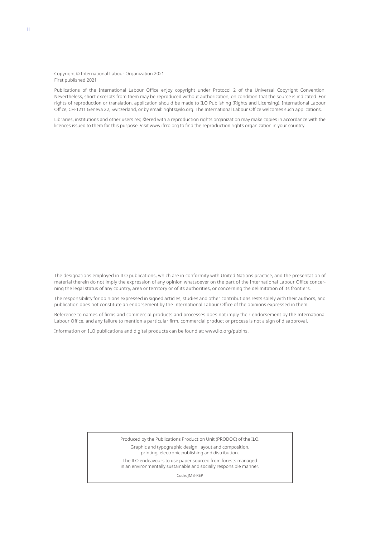Copyright © International Labour Organization 2021 First published 2021

Publications of the International Labour Office enjoy copyright under Protocol 2 of the Universal Copyright Convention. Nevertheless, short excerpts from them may be reproduced without authorization, on condition that the source is indicated. For rights of reproduction or translation, application should be made to ILO Publishing (Rights and Licensing), International Labour Office, CH-1211 Geneva 22, Switzerland, or by email: rights@ilo.org. The International Labour Office welcomes such applications.

Libraries, institutions and other users registered with a reproduction rights organization may make copies in accordance with the licences issued to them for this purpose. Visit www.ifrro.org to find the reproduction rights organization in your country.

The designations employed in ILO publications, which are in conformity with United Nations practice, and the presentation of material therein do not imply the expression of any opinion whatsoever on the part of the International Labour Office concerning the legal status of any country, area or territory or of its authorities, or concerning the delimitation of its frontiers.

The responsibility for opinions expressed in signed articles, studies and other contributions rests solely with their authors, and publication does not constitute an endorsement by the International Labour Office of the opinions expressed in them.

Reference to names of firms and commercial products and processes does not imply their endorsement by the International Labour Office, and any failure to mention a particular firm, commercial product or process is not a sign of disapproval.

Information on ILO publications and digital products can be found at: www.ilo.org/publns.

Produced by the Publications Production Unit (PRODOC) of the ILO. Graphic and typographic design, layout and composition, printing, electronic publishing and distribution.

The ILO endeavours to use paper sourced from forests managed in an environmentally sustainable and socially responsible manner.

Code: JMB-REP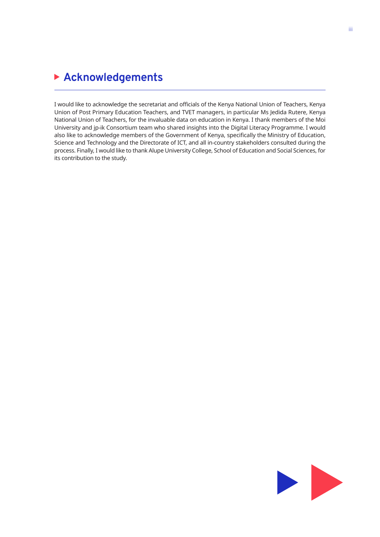# **Acknowledgements**

I would like to acknowledge the secretariat and officials of the Kenya National Union of Teachers, Kenya Union of Post Primary Education Teachers, and TVET managers, in particular Ms Jedida Rutere, Kenya National Union of Teachers, for the invaluable data on education in Kenya. I thank members of the Moi University and jp-ik Consortium team who shared insights into the Digital Literacy Programme. I would also like to acknowledge members of the Government of Kenya, specifically the Ministry of Education, Science and Technology and the Directorate of ICT, and all in-country stakeholders consulted during the process. Finally, I would like to thank Alupe University College, School of Education and Social Sciences, for its contribution to the study.

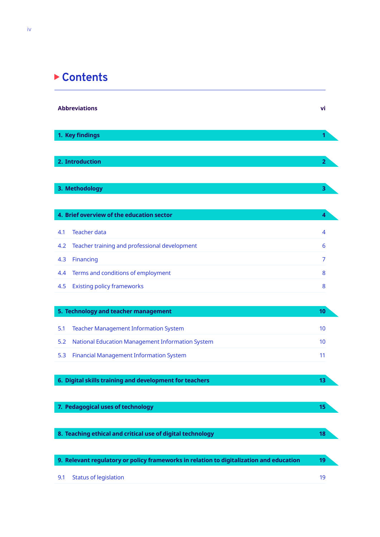# **Contents**

| <b>Abbreviations</b> |                                                                                         |                |
|----------------------|-----------------------------------------------------------------------------------------|----------------|
|                      | 1. Key findings                                                                         | 1              |
|                      |                                                                                         |                |
|                      | 2. Introduction                                                                         | $\overline{2}$ |
|                      |                                                                                         |                |
|                      | 3. Methodology                                                                          | 3              |
|                      |                                                                                         |                |
|                      | 4. Brief overview of the education sector                                               | 4              |
| 4.1                  | <b>Teacher data</b>                                                                     | 4              |
| 4.2                  | Teacher training and professional development                                           | 6              |
| 4.3                  | Financing                                                                               | 7              |
| 4.4                  | Terms and conditions of employment                                                      | 8              |
| 4.5                  | <b>Existing policy frameworks</b>                                                       | 8              |
|                      |                                                                                         |                |
|                      | 5. Technology and teacher management                                                    | 10             |
| 5.1                  | <b>Teacher Management Information System</b>                                            | 10             |
| 5.2                  | National Education Management Information System                                        | 10             |
| 5.3                  | <b>Financial Management Information System</b>                                          | 11             |
|                      |                                                                                         |                |
|                      | 6. Digital skills training and development for teachers                                 | 13             |
|                      |                                                                                         |                |
|                      | 7. Pedagogical uses of technology                                                       | 15             |
|                      |                                                                                         |                |
|                      | 8. Teaching ethical and critical use of digital technology                              | 18             |
|                      |                                                                                         |                |
|                      | 9. Relevant regulatory or policy frameworks in relation to digitalization and education | 19             |
| 9.1                  | <b>Status of legislation</b>                                                            | 19             |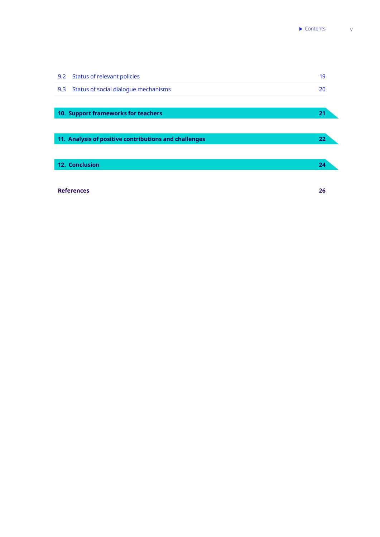| <b>Status of relevant policies</b><br>9.2             | 19 |  |  |
|-------------------------------------------------------|----|--|--|
| Status of social dialogue mechanisms<br>9.3           | 20 |  |  |
|                                                       |    |  |  |
| 10. Support frameworks for teachers<br>21             |    |  |  |
|                                                       |    |  |  |
|                                                       |    |  |  |
| 11. Analysis of positive contributions and challenges | 22 |  |  |
|                                                       |    |  |  |
| 12. Conclusion                                        | 24 |  |  |

#### **[References](#page-33-0) 26**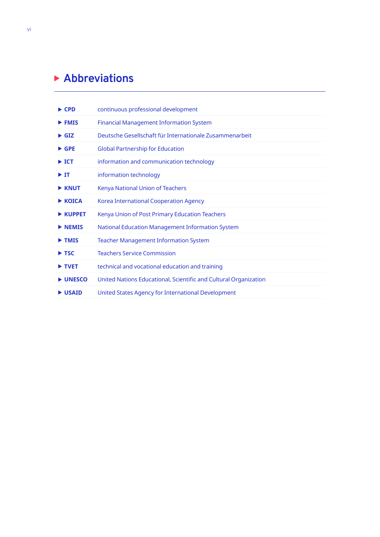# <span id="page-6-0"></span>**Abbreviations**

| $\triangleright$ CPD        | continuous professional development                              |
|-----------------------------|------------------------------------------------------------------|
| $\blacktriangleright$ FMIS  | <b>Financial Management Information System</b>                   |
| $\triangleright$ GIZ        | Deutsche Gesellschaft für Internationale Zusammenarbeit          |
| $\triangleright$ GPE        | <b>Global Partnership for Education</b>                          |
| $\blacktriangleright$ ICT   | information and communication technology                         |
| $\blacktriangleright$ IT    | information technology                                           |
| <b>EXNUT</b>                | Kenya National Union of Teachers                                 |
| $\blacktriangleright$ KOICA | Korea International Cooperation Agency                           |
| <b>EXUPPET</b>              | Kenya Union of Post Primary Education Teachers                   |
| <b>NEMIS</b>                | National Education Management Information System                 |
| $\blacktriangleright$ TMIS  | <b>Teacher Management Information System</b>                     |
| $\blacktriangleright$ TSC   | <b>Teachers Service Commission</b>                               |
| TVET                        | technical and vocational education and training                  |
| <b>DESCO</b>                | United Nations Educational, Scientific and Cultural Organization |
| <b>DESPITE</b>              | United States Agency for International Development               |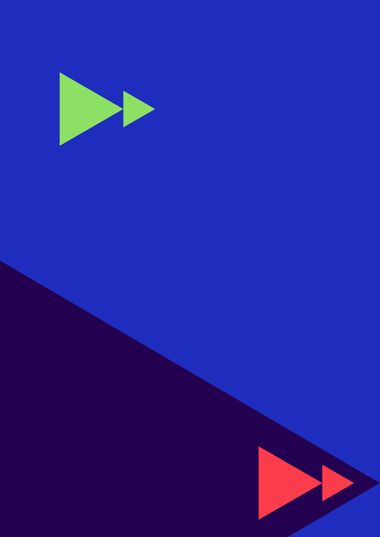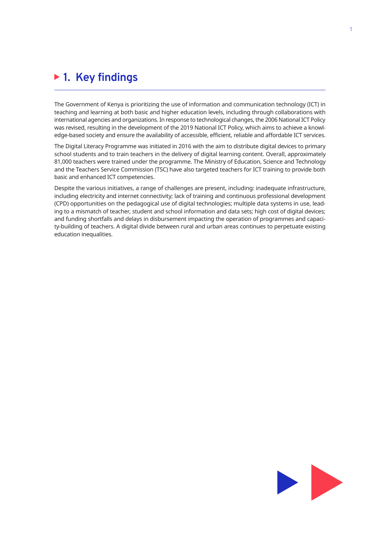# <span id="page-8-0"></span>**1. Key findings**

The Government of Kenya is prioritizing the use of information and communication technology (ICT) in teaching and learning at both basic and higher education levels, including through collaborations with international agencies and organizations. In response to technological changes, the 2006 National ICT Policy was revised, resulting in the development of the 2019 National ICT Policy, which aims to achieve a knowledge-based society and ensure the availability of accessible, efficient, reliable and affordable ICT services.

The Digital Literacy Programme was initiated in 2016 with the aim to distribute digital devices to primary school students and to train teachers in the delivery of digital learning content. Overall, approximately 81,000 teachers were trained under the programme. The Ministry of Education, Science and Technology and the Teachers Service Commission (TSC) have also targeted teachers for ICT training to provide both basic and enhanced ICT competencies.

Despite the various initiatives, a range of challenges are present, including: inadequate infrastructure, including electricity and internet connectivity; lack of training and continuous professional development (CPD) opportunities on the pedagogical use of digital technologies; multiple data systems in use, leading to a mismatch of teacher, student and school information and data sets; high cost of digital devices; and funding shortfalls and delays in disbursement impacting the operation of programmes and capacity-building of teachers. A digital divide between rural and urban areas continues to perpetuate existing education inequalities.

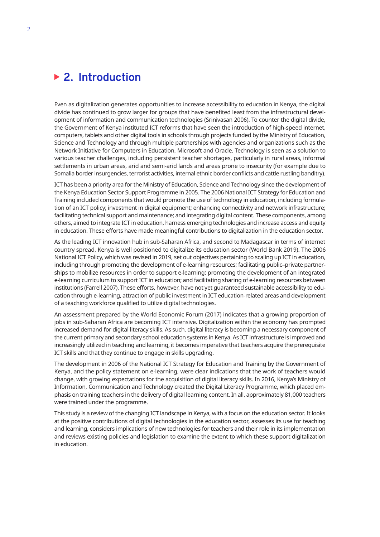# <span id="page-9-0"></span>**2. Introduction**

Even as digitalization generates opportunities to increase accessibility to education in Kenya, the digital divide has continued to grow larger for groups that have benefited least from the infrastructural development of information and communication technologies (Srinivasan 2006). To counter the digital divide, the Government of Kenya instituted ICT reforms that have seen the introduction of high-speed internet, computers, tablets and other digital tools in schools through projects funded by the Ministry of Education, Science and Technology and through multiple partnerships with agencies and organizations such as the Network Initiative for Computers in Education, Microsoft and Oracle. Technology is seen as a solution to various teacher challenges, including persistent teacher shortages, particularly in rural areas, informal settlements in urban areas, arid and semi-arid lands and areas prone to insecurity (for example due to Somalia border insurgencies, terrorist activities, internal ethnic border conflicts and cattle rustling banditry).

ICT has been a priority area for the Ministry of Education, Science and Technology since the development of the Kenya Education Sector Support Programme in 2005. The 2006 National ICT Strategy for Education and Training included components that would promote the use of technology in education, including formulation of an ICT policy; investment in digital equipment; enhancing connectivity and network infrastructure; facilitating technical support and maintenance; and integrating digital content. These components, among others, aimed to integrate ICT in education, harness emerging technologies and increase access and equity in education. These efforts have made meaningful contributions to digitalization in the education sector.

As the leading ICT innovation hub in sub-Saharan Africa, and second to Madagascar in terms of internet country spread, Kenya is well positioned to digitalize its education sector (World Bank 2019). The 2006 National ICT Policy, which was revised in 2019, set out objectives pertaining to scaling up ICT in education, including through promoting the development of e-learning resources; facilitating public–private partnerships to mobilize resources in order to support e-learning; promoting the development of an integrated e-learning curriculum to support ICT in education; and facilitating sharing of e-learning resources between institutions (Farrell 2007). These efforts, however, have not yet guaranteed sustainable accessibility to education through e-learning, attraction of public investment in ICT education-related areas and development of a teaching workforce qualified to utilize digital technologies.

An assessment prepared by the World Economic Forum (2017) indicates that a growing proportion of jobs in sub-Saharan Africa are becoming ICT intensive. Digitalization within the economy has prompted increased demand for digital literacy skills. As such, digital literacy is becoming a necessary component of the current primary and secondary school education systems in Kenya. As ICT infrastructure is improved and increasingly utilized in teaching and learning, it becomes imperative that teachers acquire the prerequisite ICT skills and that they continue to engage in skills upgrading.

The development in 2006 of the National ICT Strategy for Education and Training by the Government of Kenya, and the policy statement on e-learning, were clear indications that the work of teachers would change, with growing expectations for the acquisition of digital literacy skills. In 2016, Kenya's Ministry of Information, Communication and Technology created the Digital Literacy Programme, which placed emphasis on training teachers in the delivery of digital learning content. In all, approximately 81,000 teachers were trained under the programme.

This study is a review of the changing ICT landscape in Kenya, with a focus on the education sector. It looks at the positive contributions of digital technologies in the education sector, assesses its use for teaching and learning, considers implications of new technologies for teachers and their role in its implementation and reviews existing policies and legislation to examine the extent to which these support digitalization in education.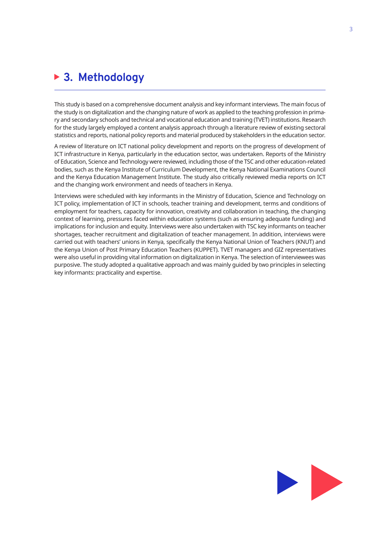# <span id="page-10-0"></span>**3. Methodology**

This study is based on a comprehensive document analysis and key informant interviews. The main focus of the study is on digitalization and the changing nature of work as applied to the teaching profession in primary and secondary schools and technical and vocational education and training (TVET) institutions. Research for the study largely employed a content analysis approach through a literature review of existing sectoral statistics and reports, national policy reports and material produced by stakeholders in the education sector.

A review of literature on ICT national policy development and reports on the progress of development of ICT infrastructure in Kenya, particularly in the education sector, was undertaken. Reports of the Ministry of Education, Science and Technology were reviewed, including those of the TSC and other education-related bodies, such as the Kenya Institute of Curriculum Development, the Kenya National Examinations Council and the Kenya Education Management Institute. The study also critically reviewed media reports on ICT and the changing work environment and needs of teachers in Kenya.

Interviews were scheduled with key informants in the Ministry of Education, Science and Technology on ICT policy, implementation of ICT in schools, teacher training and development, terms and conditions of employment for teachers, capacity for innovation, creativity and collaboration in teaching, the changing context of learning, pressures faced within education systems (such as ensuring adequate funding) and implications for inclusion and equity. Interviews were also undertaken with TSC key informants on teacher shortages, teacher recruitment and digitalization of teacher management. In addition, interviews were carried out with teachers' unions in Kenya, specifically the Kenya National Union of Teachers (KNUT) and the Kenya Union of Post Primary Education Teachers (KUPPET). TVET managers and GIZ representatives were also useful in providing vital information on digitalization in Kenya. The selection of interviewees was purposive. The study adopted a qualitative approach and was mainly guided by two principles in selecting key informants: practicality and expertise.

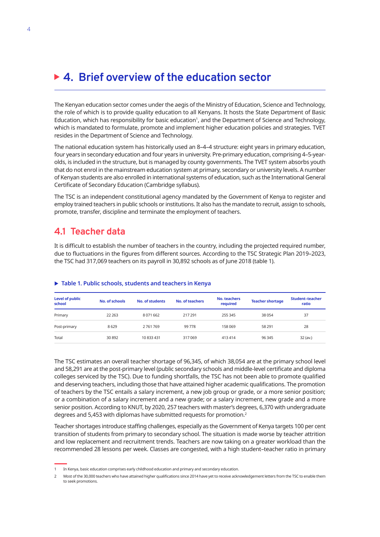## <span id="page-11-0"></span>**4. Brief overview of the education sector**

The Kenyan education sector comes under the aegis of the Ministry of Education, Science and Technology, the role of which is to provide quality education to all Kenyans. It hosts the State Department of Basic Education, which has responsibility for basic education<sup>1</sup>, and the Department of Science and Technology, which is mandated to formulate, promote and implement higher education policies and strategies. TVET resides in the Department of Science and Technology.

The national education system has historically used an 8–4–4 structure: eight years in primary education, four years in secondary education and four years in university. Pre-primary education, comprising 4–5-yearolds, is included in the structure, but is managed by county governments. The TVET system absorbs youth that do not enrol in the mainstream education system at primary, secondary or university levels. A number of Kenyan students are also enrolled in international systems of education, such as the International General Certificate of Secondary Education (Cambridge syllabus).

The TSC is an independent constitutional agency mandated by the Government of Kenya to register and employ trained teachers in public schools or institutions. It also has the mandate to recruit, assign to schools, promote, transfer, discipline and terminate the employment of teachers.

#### **4.1 Teacher data**

It is difficult to establish the number of teachers in the country, including the projected required number, due to fluctuations in the figures from different sources. According to the TSC Strategic Plan 2019–2023, the TSC had 317,069 teachers on its payroll in 30,892 schools as of June 2018 (table 1).

| <b>Level of public</b><br>school | No. of schools | No. of students | <b>No. of teachers</b> | <b>No. teachers</b><br>required | <b>Teacher shortage</b> | Student-teacher<br>ratio |
|----------------------------------|----------------|-----------------|------------------------|---------------------------------|-------------------------|--------------------------|
| Primary                          | 22 2 63        | 8 0 71 6 6 2    | 217 291                | 255 345                         | 38 0 54                 | 37                       |
| Post-primary                     | 8629           | 2761769         | 99 778                 | 158 069                         | 58 291                  | 28                       |
| Total                            | 30 892         | 10833431        | 317069                 | 413 414                         | 96 345                  | 32 (av.)                 |

#### ▶ Table 1. Public schools, students and teachers in Kenya

The TSC estimates an overall teacher shortage of 96,345, of which 38,054 are at the primary school level and 58,291 are at the post-primary level (public secondary schools and middle-level certificate and diploma colleges serviced by the TSC). Due to funding shortfalls, the TSC has not been able to promote qualified and deserving teachers, including those that have attained higher academic qualifications. The promotion of teachers by the TSC entails a salary increment, a new job group or grade, or a more senior position; or a combination of a salary increment and a new grade; or a salary increment, new grade and a more senior position. According to KNUT, by 2020, 257 teachers with master's degrees, 6,370 with undergraduate degrees and 5,453 with diplomas have submitted requests for promotion.<sup>2</sup>

Teacher shortages introduce staffing challenges, especially as the Government of Kenya targets 100 per cent transition of students from primary to secondary school. The situation is made worse by teacher attrition and low replacement and recruitment trends. Teachers are now taking on a greater workload than the recommended 28 lessons per week. Classes are congested, with a high student–teacher ratio in primary

<sup>1</sup> In Kenya, basic education comprises early childhood education and primary and secondary education.

<sup>2</sup> Most of the 30,000 teachers who have attained higher qualifications since 2014 have yet to receive acknowledgement letters from the TSC to enable them to seek promotions.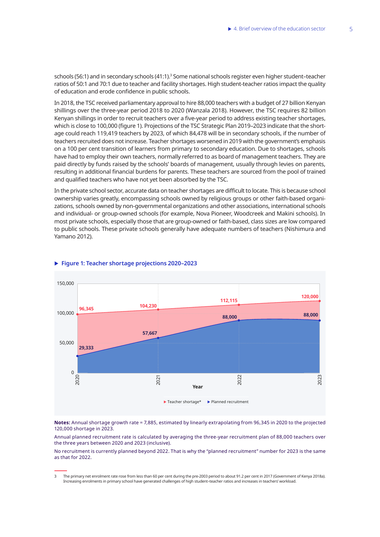schools (56:1) and in secondary schools (41:1).3 Some national schools register even higher student–teacher ratios of 50:1 and 70:1 due to teacher and facility shortages. High student-teacher ratios impact the quality of education and erode confidence in public schools.

In 2018, the TSC received parliamentary approval to hire 88,000 teachers with a budget of 27 billion Kenyan shillings over the three-year period 2018 to 2020 (Wanzala 2018). However, the TSC requires 82 billion Kenyan shillings in order to recruit teachers over a five-year period to address existing teacher shortages, which is close to 100,000 (figure 1). Projections of the TSC Strategic Plan 2019–2023 indicate that the shortage could reach 119,419 teachers by 2023, of which 84,478 will be in secondary schools, if the number of teachers recruited does not increase. Teacher shortages worsened in 2019 with the government's emphasis on a 100 per cent transition of learners from primary to secondary education. Due to shortages, schools have had to employ their own teachers, normally referred to as board of management teachers. They are paid directly by funds raised by the schools' boards of management, usually through levies on parents, resulting in additional financial burdens for parents. These teachers are sourced from the pool of trained and qualified teachers who have not yet been absorbed by the TSC.

In the private school sector, accurate data on teacher shortages are difficult to locate. This is because school ownership varies greatly, encompassing schools owned by religious groups or other faith-based organizations, schools owned by non-governmental organizations and other associations, international schools and individual- or group-owned schools (for example, Nova Pioneer, Woodcreek and Makini schools). In most private schools, especially those that are group-owned or faith-based, class sizes are low compared to public schools. These private schools generally have adequate numbers of teachers (Nishimura and Yamano 2012).



#### ▶ Figure 1: Teacher shortage projections 2020-2023

**Notes:** Annual shortage growth rate = 7,885, estimated by linearly extrapolating from 96,345 in 2020 to the projected 120,000 shortage in 2023.

Annual planned recruitment rate is calculated by averaging the three-year recruitment plan of 88,000 teachers over the three years between 2020 and 2023 (inclusive).

No recruitment is currently planned beyond 2022. That is why the "planned recruitment" number for 2023 is the same as that for 2022.

3 The primary net enrolment rate rose from less than 60 per cent during the pre-2003 period to about 91.2 per cent in 2017 (Government of Kenya 2018a). Increasing enrolments in primary school have generated challenges of high student–teacher ratios and increases in teachers' workload.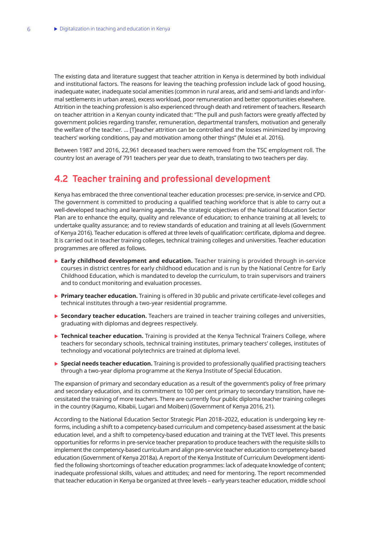<span id="page-13-0"></span>The existing data and literature suggest that teacher attrition in Kenya is determined by both individual and institutional factors. The reasons for leaving the teaching profession include lack of good housing, inadequate water, inadequate social amenities (common in rural areas, arid and semi-arid lands and informal settlements in urban areas), excess workload, poor remuneration and better opportunities elsewhere. Attrition in the teaching profession is also experienced through death and retirement of teachers. Research on teacher attrition in a Kenyan county indicated that: "The pull and push factors were greatly affected by government policies regarding transfer, remuneration, departmental transfers, motivation and generally the welfare of the teacher. … [T]eacher attrition can be controlled and the losses minimized by improving teachers' working conditions, pay and motivation among other things" (Mulei et al. 2016).

Between 1987 and 2016, 22,961 deceased teachers were removed from the TSC employment roll. The country lost an average of 791 teachers per year due to death, translating to two teachers per day.

#### **4.2 Teacher training and professional development**

Kenya has embraced the three conventional teacher education processes: pre-service, in-service and CPD. The government is committed to producing a qualified teaching workforce that is able to carry out a well-developed teaching and learning agenda. The strategic objectives of the National Education Sector Plan are to enhance the equity, quality and relevance of education; to enhance training at all levels; to undertake quality assurance; and to review standards of education and training at all levels (Government of Kenya 2016). Teacher education is offered at three levels of qualification: certificate, diploma and degree. It is carried out in teacher training colleges, technical training colleges and universities. Teacher education programmes are offered as follows.

- **Early childhood development and education.** Teacher training is provided through in-service courses in district centres for early childhood education and is run by the National Centre for Early Childhood Education, which is mandated to develop the curriculum, to train supervisors and trainers and to conduct monitoring and evaluation processes.
- **Primary teacher education.** Training is offered in 30 public and private certificate-level colleges and technical institutes through a two-year residential programme.
- ▶ **Secondary teacher education.** Teachers are trained in teacher training colleges and universities, graduating with diplomas and degrees respectively.
- ▶ Technical teacher education. Training is provided at the Kenya Technical Trainers College, where teachers for secondary schools, technical training institutes, primary teachers' colleges, institutes of technology and vocational polytechnics are trained at diploma level.
- ▶ **Special needs teacher education.** Training is provided to professionally qualified practising teachers through a two-year diploma programme at the Kenya Institute of Special Education.

The expansion of primary and secondary education as a result of the government's policy of free primary and secondary education, and its commitment to 100 per cent primary to secondary transition, have necessitated the training of more teachers. There are currently four public diploma teacher training colleges in the country (Kagumo, Kibabii, Lugari and Moiben) (Government of Kenya 2016, 21).

According to the National Education Sector Strategic Plan 2018–2022, education is undergoing key reforms, including a shift to a competency-based curriculum and competency-based assessment at the basic education level, and a shift to competency-based education and training at the TVET level. This presents opportunities for reforms in pre-service teacher preparation to produce teachers with the requisite skills to implement the competency-based curriculum and align pre-service teacher education to competency-based education (Government of Kenya 2018a). A report of the Kenya Institute of Curriculum Development identified the following shortcomings of teacher education programmes: lack of adequate knowledge of content; inadequate professional skills, values and attitudes; and need for mentoring. The report recommended that teacher education in Kenya be organized at three levels – early years teacher education, middle school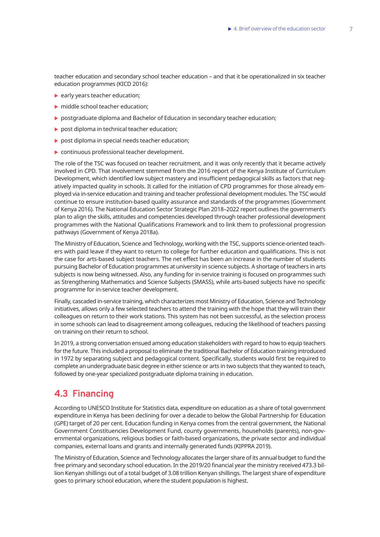<span id="page-14-0"></span>teacher education and secondary school teacher education – and that it be operationalized in six teacher education programmes (KICD 2016):

- $\blacktriangleright$  early years teacher education;
- $\triangleright$  middle school teacher education;
- $\triangleright$  postgraduate diploma and Bachelor of Education in secondary teacher education;
- $\triangleright$  post diploma in technical teacher education;
- $\triangleright$  post diploma in special needs teacher education;
- $\triangleright$  continuous professional teacher development.

The role of the TSC was focused on teacher recruitment, and it was only recently that it became actively involved in CPD. That involvement stemmed from the 2016 report of the Kenya Institute of Curriculum Development, which identified low subject mastery and insufficient pedagogical skills as factors that negatively impacted quality in schools. It called for the initiation of CPD programmes for those already employed via in-service education and training and teacher professional development modules. The TSC would continue to ensure institution-based quality assurance and standards of the programmes (Government of Kenya 2016). The National Education Sector Strategic Plan 2018–2022 report outlines the government's plan to align the skills, attitudes and competencies developed through teacher professional development programmes with the National Qualifications Framework and to link them to professional progression pathways (Government of Kenya 2018a).

The Ministry of Education, Science and Technology, working with the TSC, supports science-oriented teachers with paid leave if they want to return to college for further education and qualifications. This is not the case for arts-based subject teachers. The net effect has been an increase in the number of students pursuing Bachelor of Education programmes at university in science subjects. A shortage of teachers in arts subjects is now being witnessed. Also, any funding for in-service training is focused on programmes such as Strengthening Mathematics and Science Subjects (SMASS), while arts-based subjects have no specific programme for in-service teacher development.

Finally, cascaded in-service training, which characterizes most Ministry of Education, Science and Technology initiatives, allows only a few selected teachers to attend the training with the hope that they will train their colleagues on return to their work stations. This system has not been successful, as the selection process in some schools can lead to disagreement among colleagues, reducing the likelihood of teachers passing on training on their return to school.

In 2019, a strong conversation ensued among education stakeholders with regard to how to equip teachers for the future. This included a proposal to eliminate the traditional Bachelor of Education training introduced in 1972 by separating subject and pedagogical content. Specifically, students would first be required to complete an undergraduate basic degree in either science or arts in two subjects that they wanted to teach, followed by one-year specialized postgraduate diploma training in education.

#### **4.3 Financing**

According to UNESCO Institute for Statistics data, expenditure on education as a share of total government expenditure in Kenya has been declining for over a decade to below the Global Partnership for Education (GPE) target of 20 per cent. Education funding in Kenya comes from the central government, the National Government Constituencies Development Fund, county governments, households (parents), non-governmental organizations, religious bodies or faith-based organizations, the private sector and individual companies, external loans and grants and internally generated funds (KIPPRA 2019).

The Ministry of Education, Science and Technology allocates the larger share of its annual budget to fund the free primary and secondary school education. In the 2019/20 financial year the ministry received 473.3 billion Kenyan shillings out of a total budget of 3.08 trillion Kenyan shillings. The largest share of expenditure goes to primary school education, where the student population is highest.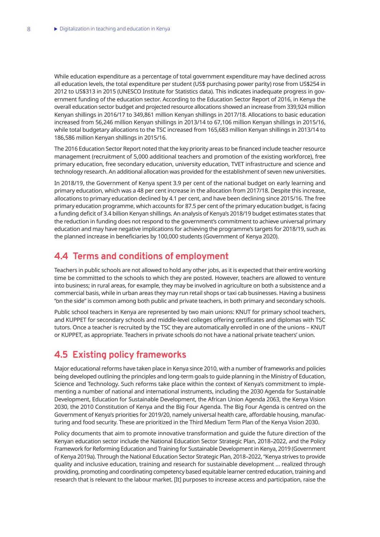<span id="page-15-0"></span>While education expenditure as a percentage of total government expenditure may have declined across all education levels, the total expenditure per student (US\$ purchasing power parity) rose from US\$254 in 2012 to US\$313 in 2015 (UNESCO Institute for Statistics data). This indicates inadequate progress in government funding of the education sector. According to the Education Sector Report of 2016, in Kenya the overall education sector budget and projected resource allocations showed an increase from 339,924 million Kenyan shillings in 2016/17 to 349,861 million Kenyan shillings in 2017/18. Allocations to basic education increased from 56,246 million Kenyan shillings in 2013/14 to 67,106 million Kenyan shillings in 2015/16, while total budgetary allocations to the TSC increased from 165,683 million Kenyan shillings in 2013/14 to 186,586 million Kenyan shillings in 2015/16.

The 2016 Education Sector Report noted that the key priority areas to be financed include teacher resource management (recruitment of 5,000 additional teachers and promotion of the existing workforce), free primary education, free secondary education, university education, TVET infrastructure and science and technology research. An additional allocation was provided for the establishment of seven new universities.

In 2018/19, the Government of Kenya spent 3.9 per cent of the national budget on early learning and primary education, which was a 48 per cent increase in the allocation from 2017/18. Despite this increase, allocations to primary education declined by 4.1 per cent, and have been declining since 2015/16. The free primary education programme, which accounts for 87.5 per cent of the primary education budget, is facing a funding deficit of 3.4 billion Kenyan shillings. An analysis of Kenya's 2018/19 budget estimates states that the reduction in funding does not respond to the government's commitment to achieve universal primary education and may have negative implications for achieving the programme's targets for 2018/19, such as the planned increase in beneficiaries by 100,000 students (Government of Kenya 2020).

#### **4.4 Terms and conditions of employment**

Teachers in public schools are not allowed to hold any other jobs, as it is expected that their entire working time be committed to the schools to which they are posted. However, teachers are allowed to venture into business; in rural areas, for example, they may be involved in agriculture on both a subsistence and a commercial basis, while in urban areas they may run retail shops or taxi cab businesses. Having a business "on the side" is common among both public and private teachers, in both primary and secondary schools.

Public school teachers in Kenya are represented by two main unions: KNUT for primary school teachers, and KUPPET for secondary schools and middle-level colleges offering certificates and diplomas with TSC tutors. Once a teacher is recruited by the TSC they are automatically enrolled in one of the unions – KNUT or KUPPET, as appropriate. Teachers in private schools do not have a national private teachers' union.

#### **4.5 Existing policy frameworks**

Major educational reforms have taken place in Kenya since 2010, with a number of frameworks and policies being developed outlining the principles and long-term goals to guide planning in the Ministry of Education, Science and Technology. Such reforms take place within the context of Kenya's commitment to implementing a number of national and international instruments, including the 2030 Agenda for Sustainable Development, Education for Sustainable Development, the African Union Agenda 2063, the Kenya Vision 2030, the 2010 Constitution of Kenya and the Big Four Agenda. The Big Four Agenda is centred on the Government of Kenya's priorities for 2019/20, namely universal health care, affordable housing, manufacturing and food security. These are prioritized in the Third Medium Term Plan of the Kenya Vision 2030.

Policy documents that aim to promote innovative transformation and guide the future direction of the Kenyan education sector include the National Education Sector Strategic Plan, 2018–2022, and the Policy Framework for Reforming Education and Training for Sustainable Development in Kenya, 2019 (Government of Kenya 2019a). Through the National Education Sector Strategic Plan, 2018–2022, "Kenya strives to provide quality and inclusive education, training and research for sustainable development … realized through providing, promoting and coordinating competency based equitable learner centred education, training and research that is relevant to the labour market. [It] purposes to increase access and participation, raise the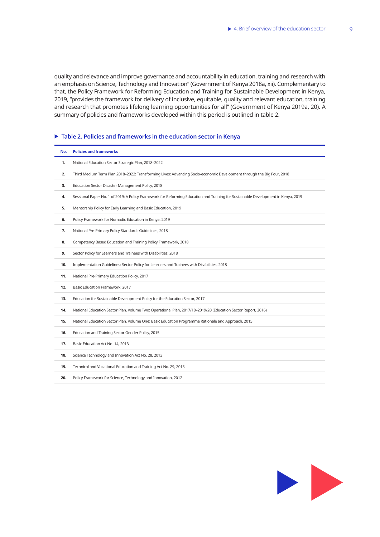quality and relevance and improve governance and accountability in education, training and research with an emphasis on Science, Technology and Innovation" (Government of Kenya 2018a, xii). Complementary to that, the Policy Framework for Reforming Education and Training for Sustainable Development in Kenya, 2019, "provides the framework for delivery of inclusive, equitable, quality and relevant education, training and research that promotes lifelong learning opportunities for all" (Government of Kenya 2019a, 20). A summary of policies and frameworks developed within this period is outlined in table 2.

#### ▶ Table 2. Policies and frameworks in the education sector in Kenya

| No. | <b>Policies and frameworks</b>                                                                                                    |
|-----|-----------------------------------------------------------------------------------------------------------------------------------|
| 1.  | National Education Sector Strategic Plan, 2018-2022                                                                               |
| 2.  | Third Medium Term Plan 2018-2022: Transforming Lives: Advancing Socio-economic Development through the Big Four, 2018             |
| 3.  | Education Sector Disaster Management Policy, 2018                                                                                 |
| 4.  | Sessional Paper No. 1 of 2019: A Policy Framework for Reforming Education and Training for Sustainable Development in Kenya, 2019 |
| 5.  | Mentorship Policy for Early Learning and Basic Education, 2019                                                                    |
| 6.  | Policy Framework for Nomadic Education in Kenya, 2019                                                                             |
| 7.  | National Pre-Primary Policy Standards Guidelines, 2018                                                                            |
| 8.  | Competency Based Education and Training Policy Framework, 2018                                                                    |
| 9.  | Sector Policy for Learners and Trainees with Disabilities, 2018                                                                   |
| 10. | Implementation Guidelines: Sector Policy for Learners and Trainees with Disabilities, 2018                                        |
| 11. | National Pre-Primary Education Policy, 2017                                                                                       |
| 12. | Basic Education Framework, 2017                                                                                                   |
| 13. | Education for Sustainable Development Policy for the Education Sector, 2017                                                       |
| 14. | National Education Sector Plan, Volume Two: Operational Plan, 2017/18-2019/20 (Education Sector Report, 2016)                     |
| 15. | National Education Sector Plan, Volume One: Basic Education Programme Rationale and Approach, 2015                                |
| 16. | Education and Training Sector Gender Policy, 2015                                                                                 |
| 17. | Basic Education Act No. 14, 2013                                                                                                  |
| 18. | Science Technology and Innovation Act No. 28, 2013                                                                                |
| 19. | Technical and Vocational Education and Training Act No. 29, 2013                                                                  |
| 20. | Policy Framework for Science, Technology and Innovation, 2012                                                                     |

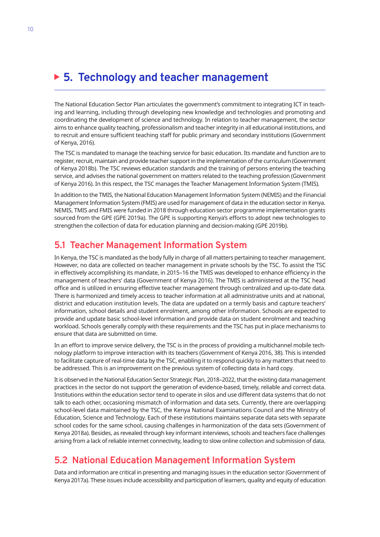## <span id="page-17-0"></span>**5. Technology and teacher management**

The National Education Sector Plan articulates the government's commitment to integrating ICT in teaching and learning, including through developing new knowledge and technologies and promoting and coordinating the development of science and technology. In relation to teacher management, the sector aims to enhance quality teaching, professionalism and teacher integrity in all educational institutions, and to recruit and ensure sufficient teaching staff for public primary and secondary institutions (Government of Kenya, 2016).

The TSC is mandated to manage the teaching service for basic education. Its mandate and function are to register, recruit, maintain and provide teacher support in the implementation of the curriculum (Government of Kenya 2018b). The TSC reviews education standards and the training of persons entering the teaching service, and advises the national government on matters related to the teaching profession (Government of Kenya 2016). In this respect, the TSC manages the Teacher Management Information System (TMIS).

In addition to the TMIS, the National Education Management Information System (NEMIS) and the Financial Management Information System (FMIS) are used for management of data in the education sector in Kenya. NEMIS, TMIS and FMIS were funded in 2018 through education sector programme implementation grants sourced from the GPE (GPE 2019a). The GPE is supporting Kenya's efforts to adopt new technologies to strengthen the collection of data for education planning and decision-making (GPE 2019b).

#### **5.1 Teacher Management Information System**

In Kenya, the TSC is mandated as the body fully in charge of all matters pertaining to teacher management. However, no data are collected on teacher management in private schools by the TSC. To assist the TSC in effectively accomplishing its mandate, in 2015–16 the TMIS was developed to enhance efficiency in the management of teachers' data (Government of Kenya 2016). The TMIS is administered at the TSC head office and is utilized in ensuring effective teacher management through centralized and up-to-date data. There is harmonized and timely access to teacher information at all administrative units and at national, district and education institution levels. The data are updated on a termly basis and capture teachers' information, school details and student enrolment, among other information. Schools are expected to provide and update basic school-level information and provide data on student enrolment and teaching workload. Schools generally comply with these requirements and the TSC has put in place mechanisms to ensure that data are submitted on time.

In an effort to improve service delivery, the TSC is in the process of providing a multichannel mobile technology platform to improve interaction with its teachers (Government of Kenya 2016, 38). This is intended to facilitate capture of real-time data by the TSC, enabling it to respond quickly to any matters that need to be addressed. This is an improvement on the previous system of collecting data in hard copy.

It is observed in the National Education Sector Strategic Plan, 2018–2022, that the existing data management practices in the sector do not support the generation of evidence-based, timely, reliable and correct data. Institutions within the education sector tend to operate in silos and use different data systems that do not talk to each other, occasioning mismatch of information and data sets. Currently, there are overlapping school-level data maintained by the TSC, the Kenya National Examinations Council and the Ministry of Education, Science and Technology. Each of these institutions maintains separate data sets with separate school codes for the same school, causing challenges in harmonization of the data sets (Government of Kenya 2018a). Besides, as revealed through key informant interviews, schools and teachers face challenges arising from a lack of reliable internet connectivity, leading to slow online collection and submission of data.

#### **5.2 National Education Management Information System**

Data and information are critical in presenting and managing issues in the education sector (Government of Kenya 2017a). These issues include accessibility and participation of learners, quality and equity of education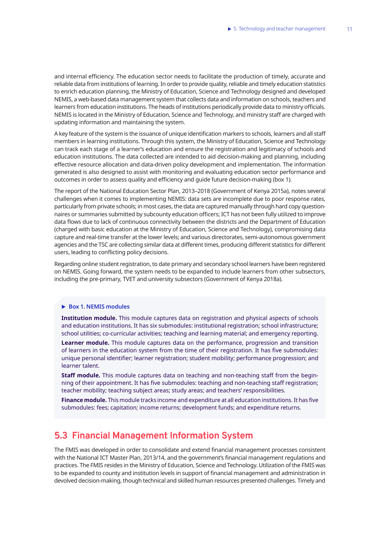<span id="page-18-0"></span>and internal efficiency. The education sector needs to facilitate the production of timely, accurate and reliable data from institutions of learning. In order to provide quality, reliable and timely education statistics to enrich education planning, the Ministry of Education, Science and Technology designed and developed NEMIS, a web-based data management system that collects data and information on schools, teachers and learners from education institutions. The heads of institutions periodically provide data to ministry officials. NEMIS is located in the Ministry of Education, Science and Technology, and ministry staff are charged with updating information and maintaining the system.

A key feature of the system is the issuance of unique identification markers to schools, learners and all staff members in learning institutions. Through this system, the Ministry of Education, Science and Technology can track each stage of a learner's education and ensure the registration and legitimacy of schools and education institutions. The data collected are intended to aid decision-making and planning, including effective resource allocation and data-driven policy development and implementation. The information generated is also designed to assist with monitoring and evaluating education sector performance and outcomes in order to assess quality and efficiency and guide future decision-making (box 1).

The report of the National Education Sector Plan, 2013–2018 (Government of Kenya 2015a), notes several challenges when it comes to implementing NEMIS: data sets are incomplete due to poor response rates, particularly from private schools; in most cases, the data are captured manually through hard copy questionnaires or summaries submitted by subcounty education officers; ICT has not been fully utilized to improve data flows due to lack of continuous connectivity between the districts and the Department of Education (charged with basic education at the Ministry of Education, Science and Technology), compromising data capture and real-time transfer at the lower levels; and various directorates, semi-autonomous government agencies and the TSC are collecting similar data at different times, producing different statistics for different users, leading to conflicting policy decisions.

Regarding online student registration, to date primary and secondary school learners have been registered on NEMIS. Going forward, the system needs to be expanded to include learners from other subsectors, including the pre-primary, TVET and university subsectors (Government of Kenya 2018a).

#### ▶ Box 1. NEMIS modules

**Institution module.** This module captures data on registration and physical aspects of schools and education institutions. It has six submodules: institutional registration; school infrastructure; school utilities; co-curricular activities; teaching and learning material; and emergency reporting.

**Learner module.** This module captures data on the performance, progression and transition of learners in the education system from the time of their registration. It has five submodules: unique personal identifier; learner registration; student mobility; performance progression; and learner talent.

**Staff module.** This module captures data on teaching and non-teaching staff from the beginning of their appointment. It has five submodules: teaching and non-teaching staff registration; teacher mobility; teaching subject areas; study areas; and teachers' responsibilities.

**Finance module.** This module tracks income and expenditure at all education institutions. It has five submodules: fees; capitation; income returns; development funds; and expenditure returns.

#### **5.3 Financial Management Information System**

The FMIS was developed in order to consolidate and extend financial management processes consistent with the National ICT Master Plan, 2013/14, and the government's financial management regulations and practices. The FMIS resides in the Ministry of Education, Science and Technology. Utilization of the FMIS was to be expanded to county and institution levels in support of financial management and administration in devolved decision-making, though technical and skilled human resources presented challenges. Timely and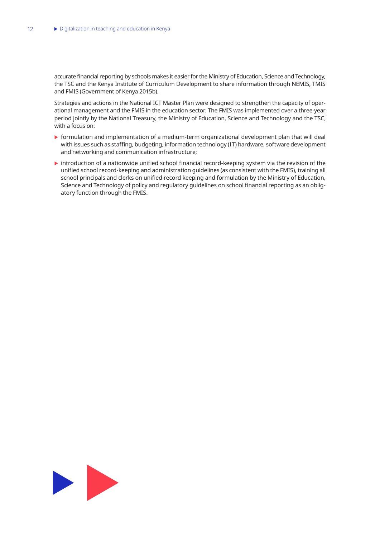accurate financial reporting by schools makes it easier for the Ministry of Education, Science and Technology, the TSC and the Kenya Institute of Curriculum Development to share information through NEMIS, TMIS and FMIS (Government of Kenya 2015b).

Strategies and actions in the National ICT Master Plan were designed to strengthen the capacity of operational management and the FMIS in the education sector. The FMIS was implemented over a three-year period jointly by the National Treasury, the Ministry of Education, Science and Technology and the TSC, with a focus on:

- $\triangleright$  formulation and implementation of a medium-term organizational development plan that will deal with issues such as staffing, budgeting, information technology (IT) hardware, software development and networking and communication infrastructure;
- $\triangleright$  introduction of a nationwide unified school financial record-keeping system via the revision of the unified school record-keeping and administration guidelines (as consistent with the FMIS), training all school principals and clerks on unified record keeping and formulation by the Ministry of Education, Science and Technology of policy and regulatory guidelines on school financial reporting as an obligatory function through the FMIS.

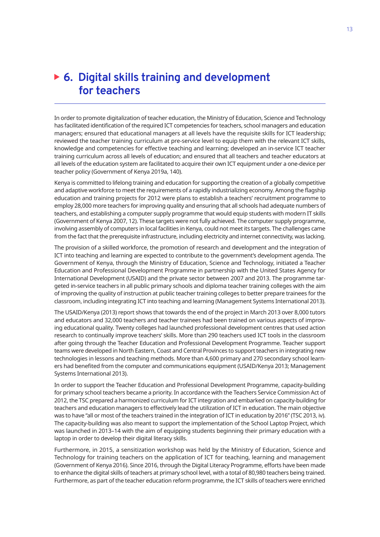# <span id="page-20-0"></span>▶ 6. Digital skills training and development **for teachers**

In order to promote digitalization of teacher education, the Ministry of Education, Science and Technology has facilitated identification of the required ICT competencies for teachers, school managers and education managers; ensured that educational managers at all levels have the requisite skills for ICT leadership; reviewed the teacher training curriculum at pre-service level to equip them with the relevant ICT skills, knowledge and competencies for effective teaching and learning; developed an in-service ICT teacher training curriculum across all levels of education; and ensured that all teachers and teacher educators at all levels of the education system are facilitated to acquire their own ICT equipment under a one-device per teacher policy (Government of Kenya 2019a, 140).

Kenya is committed to lifelong training and education for supporting the creation of a globally competitive and adaptive workforce to meet the requirements of a rapidly industrializing economy. Among the flagship education and training projects for 2012 were plans to establish a teachers' recruitment programme to employ 28,000 more teachers for improving quality and ensuring that all schools had adequate numbers of teachers, and establishing a computer supply programme that would equip students with modern IT skills (Government of Kenya 2007, 12). These targets were not fully achieved. The computer supply programme, involving assembly of computers in local facilities in Kenya, could not meet its targets. The challenges came from the fact that the prerequisite infrastructure, including electricity and internet connectivity, was lacking.

The provision of a skilled workforce, the promotion of research and development and the integration of ICT into teaching and learning are expected to contribute to the government's development agenda. The Government of Kenya, through the Ministry of Education, Science and Technology, initiated a Teacher Education and Professional Development Programme in partnership with the United States Agency for International Development (USAID) and the private sector between 2007 and 2013. The programme targeted in-service teachers in all public primary schools and diploma teacher training colleges with the aim of improving the quality of instruction at public teacher training colleges to better prepare trainees for the classroom, including integrating ICT into teaching and learning (Management Systems International 2013).

The USAID/Kenya (2013) report shows that towards the end of the project in March 2013 over 8,000 tutors and educators and 32,000 teachers and teacher trainees had been trained on various aspects of improving educational quality. Twenty colleges had launched professional development centres that used action research to continually improve teachers' skills. More than 290 teachers used ICT tools in the classroom after going through the Teacher Education and Professional Development Programme. Teacher support teams were developed in North Eastern, Coast and Central Provinces to support teachers in integrating new technologies in lessons and teaching methods. More than 4,600 primary and 270 secondary school learners had benefited from the computer and communications equipment (USAID/Kenya 2013; Management Systems International 2013).

In order to support the Teacher Education and Professional Development Programme, capacity-building for primary school teachers became a priority. In accordance with the Teachers Service Commission Act of 2012, the TSC prepared a harmonized curriculum for ICT integration and embarked on capacity-building for teachers and education managers to effectively lead the utilization of ICT in education. The main objective was to have "all or most of the teachers trained in the integration of ICT in education by 2016" (TSC 2013, iv). The capacity-building was also meant to support the implementation of the School Laptop Project, which was launched in 2013–14 with the aim of equipping students beginning their primary education with a laptop in order to develop their digital literacy skills.

Furthermore, in 2015, a sensitization workshop was held by the Ministry of Education, Science and Technology for training teachers on the application of ICT for teaching, learning and management (Government of Kenya 2016). Since 2016, through the Digital Literacy Programme, efforts have been made to enhance the digital skills of teachers at primary school level, with a total of 80,980 teachers being trained. Furthermore, as part of the teacher education reform programme, the ICT skills of teachers were enriched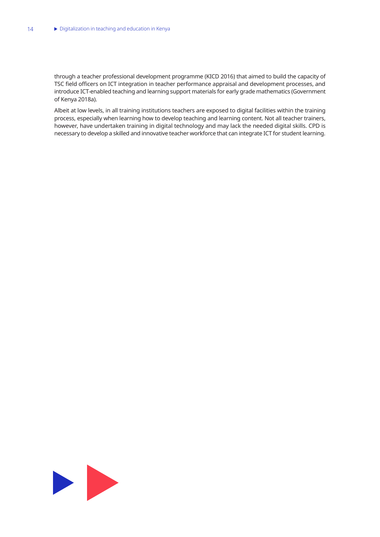through a teacher professional development programme (KICD 2016) that aimed to build the capacity of TSC field officers on ICT integration in teacher performance appraisal and development processes, and introduce ICT-enabled teaching and learning support materials for early grade mathematics (Government of Kenya 2018a).

Albeit at low levels, in all training institutions teachers are exposed to digital facilities within the training process, especially when learning how to develop teaching and learning content. Not all teacher trainers, however, have undertaken training in digital technology and may lack the needed digital skills. CPD is necessary to develop a skilled and innovative teacher workforce that can integrate ICT for student learning.

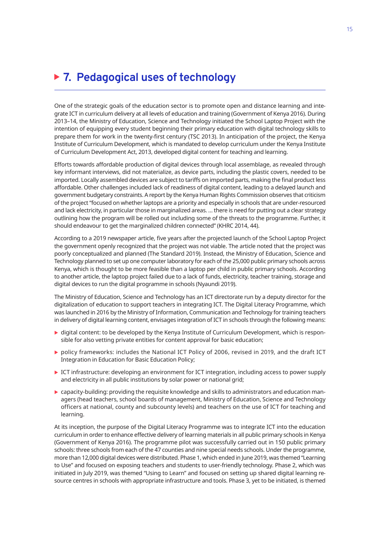# <span id="page-22-0"></span>**7. Pedagogical uses of technology**

One of the strategic goals of the education sector is to promote open and distance learning and integrate ICT in curriculum delivery at all levels of education and training (Government of Kenya 2016). During 2013–14, the Ministry of Education, Science and Technology initiated the School Laptop Project with the intention of equipping every student beginning their primary education with digital technology skills to prepare them for work in the twenty-first century (TSC 2013). In anticipation of the project, the Kenya Institute of Curriculum Development, which is mandated to develop curriculum under the Kenya Institute of Curriculum Development Act, 2013, developed digital content for teaching and learning.

Efforts towards affordable production of digital devices through local assemblage, as revealed through key informant interviews, did not materialize, as device parts, including the plastic covers, needed to be imported. Locally assembled devices are subject to tariffs on imported parts, making the final product less affordable. Other challenges included lack of readiness of digital content, leading to a delayed launch and government budgetary constraints. A report by the Kenya Human Rights Commission observes that criticism of the project "focused on whether laptops are a priority and especially in schools that are under-resourced and lack electricity, in particular those in marginalized areas. … there is need for putting out a clear strategy outlining how the program will be rolled out including some of the threats to the programme. Further, it should endeavour to get the marginalized children connected" (KHRC 2014, 44).

According to a 2019 newspaper article, five years after the projected launch of the School Laptop Project the government openly recognized that the project was not viable. The article noted that the project was poorly conceptualized and planned (The Standard 2019). Instead, the Ministry of Education, Science and Technology planned to set up one computer laboratory for each of the 25,000 public primary schools across Kenya, which is thought to be more feasible than a laptop per child in public primary schools. According to another article, the laptop project failed due to a lack of funds, electricity, teacher training, storage and digital devices to run the digital programme in schools (Nyaundi 2019).

The Ministry of Education, Science and Technology has an ICT directorate run by a deputy director for the digitalization of education to support teachers in integrating ICT. The Digital Literacy Programme, which was launched in 2016 by the Ministry of Information, Communication and Technology for training teachers in delivery of digital learning content, envisages integration of ICT in schools through the following means:

- $\blacktriangleright$  digital content: to be developed by the Kenya Institute of Curriculum Development, which is responsible for also vetting private entities for content approval for basic education;
- $\triangleright$  policy frameworks: includes the National ICT Policy of 2006, revised in 2019, and the draft ICT Integration in Education for Basic Education Policy;
- $\triangleright$  ICT infrastructure: developing an environment for ICT integration, including access to power supply and electricity in all public institutions by solar power or national grid;
- $\triangleright$  capacity-building: providing the requisite knowledge and skills to administrators and education managers (head teachers, school boards of management, Ministry of Education, Science and Technology officers at national, county and subcounty levels) and teachers on the use of ICT for teaching and learning.

At its inception, the purpose of the Digital Literacy Programme was to integrate ICT into the education curriculum in order to enhance effective delivery of learning materials in all public primary schools in Kenya (Government of Kenya 2016). The programme pilot was successfully carried out in 150 public primary schools: three schools from each of the 47 counties and nine special needs schools. Under the programme, more than 12,000 digital devices were distributed. Phase 1, which ended in June 2019, was themed "Learning to Use" and focused on exposing teachers and students to user-friendly technology. Phase 2, which was initiated in July 2019, was themed "Using to Learn" and focused on setting up shared digital learning resource centres in schools with appropriate infrastructure and tools. Phase 3, yet to be initiated, is themed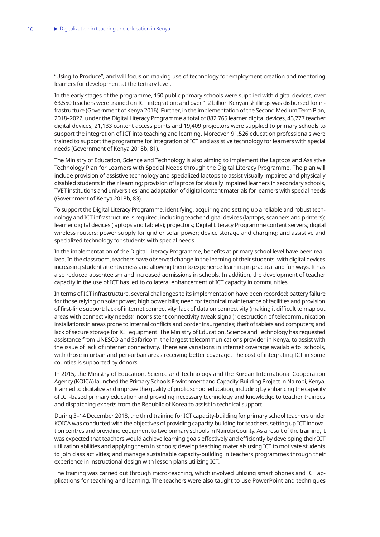"Using to Produce", and will focus on making use of technology for employment creation and mentoring learners for development at the tertiary level.

In the early stages of the programme, 150 public primary schools were supplied with digital devices; over 63,550 teachers were trained on ICT integration; and over 1.2 billion Kenyan shillings was disbursed for infrastructure (Government of Kenya 2016). Further, in the implementation of the Second Medium Term Plan, 2018–2022, under the Digital Literacy Programme a total of 882,765 learner digital devices, 43,777 teacher digital devices, 21,133 content access points and 19,409 projectors were supplied to primary schools to support the integration of ICT into teaching and learning. Moreover, 91,526 education professionals were trained to support the programme for integration of ICT and assistive technology for learners with special needs (Government of Kenya 2018b, 81).

The Ministry of Education, Science and Technology is also aiming to implement the Laptops and Assistive Technology Plan for Learners with Special Needs through the Digital Literacy Programme. The plan will include provision of assistive technology and specialized laptops to assist visually impaired and physically disabled students in their learning; provision of laptops for visually impaired learners in secondary schools, TVET institutions and universities; and adaptation of digital content materials for learners with special needs (Government of Kenya 2018b, 83).

To support the Digital Literacy Programme, identifying, acquiring and setting up a reliable and robust technology and ICT infrastructure is required, including teacher digital devices (laptops, scanners and printers); learner digital devices (laptops and tablets); projectors; Digital Literacy Programme content servers; digital wireless routers; power supply for grid or solar power; device storage and charging; and assistive and specialized technology for students with special needs.

In the implementation of the Digital Literacy Programme, benefits at primary school level have been realized. In the classroom, teachers have observed change in the learning of their students, with digital devices increasing student attentiveness and allowing them to experience learning in practical and fun ways. It has also reduced absenteeism and increased admissions in schools. In addition, the development of teacher capacity in the use of ICT has led to collateral enhancement of ICT capacity in communities.

In terms of ICT infrastructure, several challenges to its implementation have been recorded: battery failure for those relying on solar power; high power bills; need for technical maintenance of facilities and provision of first-line support; lack of internet connectivity; lack of data on connectivity (making it difficult to map out areas with connectivity needs); inconsistent connectivity (weak signal); destruction of telecommunication installations in areas prone to internal conflicts and border insurgencies; theft of tablets and computers; and lack of secure storage for ICT equipment. The Ministry of Education, Science and Technology has requested assistance from UNESCO and Safaricom, the largest telecommunications provider in Kenya, to assist with the issue of lack of internet connectivity. There are variations in internet coverage available to schools, with those in urban and peri-urban areas receiving better coverage. The cost of integrating ICT in some counties is supported by donors.

In 2015, the Ministry of Education, Science and Technology and the Korean International Cooperation Agency (KOICA) launched the Primary Schools Environment and Capacity-Building Project in Nairobi, Kenya. It aimed to digitalize and improve the quality of public school education, including by enhancing the capacity of ICT-based primary education and providing necessary technology and knowledge to teacher trainees and dispatching experts from the Republic of Korea to assist in technical support.

During 3–14 December 2018, the third training for ICT capacity-building for primary school teachers under KOICA was conducted with the objectives of providing capacity-building for teachers, setting up ICT innovation centres and providing equipment to two primary schools in Nairobi County. As a result of the training, it was expected that teachers would achieve learning goals effectively and efficiently by developing their ICT utilization abilities and applying them in schools; develop teaching materials using ICT to motivate students to join class activities; and manage sustainable capacity-building in teachers programmes through their experience in instructional design with lesson plans utilizing ICT.

The training was carried out through micro-teaching, which involved utilizing smart phones and ICT applications for teaching and learning. The teachers were also taught to use PowerPoint and techniques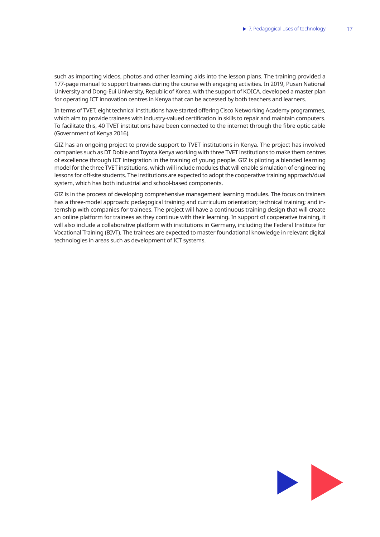such as importing videos, photos and other learning aids into the lesson plans. The training provided a 177-page manual to support trainees during the course with engaging activities. In 2019, Pusan National University and Dong-Eui University, Republic of Korea, with the support of KOICA, developed a master plan for operating ICT innovation centres in Kenya that can be accessed by both teachers and learners.

In terms of TVET, eight technical institutions have started offering Cisco Networking Academy programmes, which aim to provide trainees with industry-valued certification in skills to repair and maintain computers. To facilitate this, 40 TVET institutions have been connected to the internet through the fibre optic cable (Government of Kenya 2016).

GIZ has an ongoing project to provide support to TVET institutions in Kenya. The project has involved companies such as DT Dobie and Toyota Kenya working with three TVET institutions to make them centres of excellence through ICT integration in the training of young people. GIZ is piloting a blended learning model for the three TVET institutions, which will include modules that will enable simulation of engineering lessons for off-site students. The institutions are expected to adopt the cooperative training approach/dual system, which has both industrial and school-based components.

GIZ is in the process of developing comprehensive management learning modules. The focus on trainers has a three-model approach: pedagogical training and curriculum orientation; technical training; and internship with companies for trainees. The project will have a continuous training design that will create an online platform for trainees as they continue with their learning. In support of cooperative training, it will also include a collaborative platform with institutions in Germany, including the Federal Institute for Vocational Training (BIVT). The trainees are expected to master foundational knowledge in relevant digital technologies in areas such as development of ICT systems.

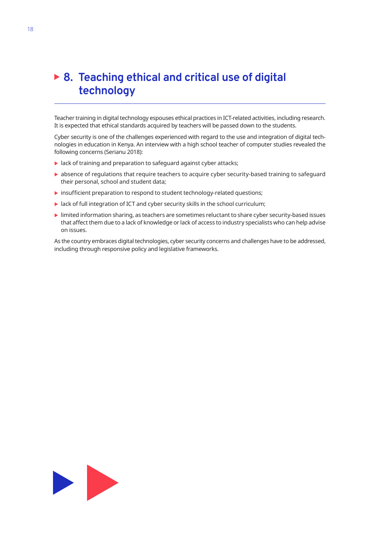# <span id="page-25-0"></span>▶ 8. Teaching ethical and critical use of digital **technology**

Teacher training in digital technology espouses ethical practices in ICT-related activities, including research. It is expected that ethical standards acquired by teachers will be passed down to the students.

Cyber security is one of the challenges experienced with regard to the use and integration of digital technologies in education in Kenya. An interview with a high school teacher of computer studies revealed the following concerns (Serianu 2018):

- $\blacktriangleright$  lack of training and preparation to safeguard against cyber attacks;
- $\triangleright$  absence of regulations that require teachers to acquire cyber security-based training to safeguard their personal, school and student data;
- $\triangleright$  insufficient preparation to respond to student technology-related questions;
- $\blacktriangleright$  lack of full integration of ICT and cyber security skills in the school curriculum;
- $\blacktriangleright$  limited information sharing, as teachers are sometimes reluctant to share cyber security-based issues that affect them due to a lack of knowledge or lack of access to industry specialists who can help advise on issues.

As the country embraces digital technologies, cyber security concerns and challenges have to be addressed, including through responsive policy and legislative frameworks.

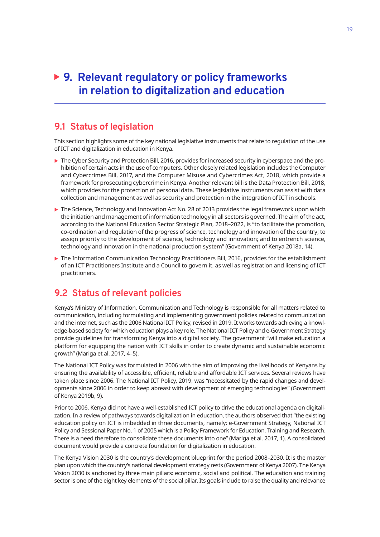# <span id="page-26-0"></span>**9. Relevant regulatory or policy frameworks in relation to digitalization and education**

#### **9.1 Status of legislation**

This section highlights some of the key national legislative instruments that relate to regulation of the use of ICT and digitalization in education in Kenya.

- $\triangleright$  The Cyber Security and Protection Bill, 2016, provides for increased security in cyberspace and the prohibition of certain acts in the use of computers. Other closely related legislation includes the Computer and Cybercrimes Bill, 2017, and the Computer Misuse and Cybercrimes Act, 2018, which provide a framework for prosecuting cybercrime in Kenya. Another relevant bill is the Data Protection Bill, 2018, which provides for the protection of personal data. These legislative instruments can assist with data collection and management as well as security and protection in the integration of ICT in schools.
- $\triangleright$  The Science, Technology and Innovation Act No. 28 of 2013 provides the legal framework upon which the initiation and management of information technology in all sectors is governed. The aim of the act, according to the National Education Sector Strategic Plan, 2018–2022, is "to facilitate the promotion, co-ordination and regulation of the progress of science, technology and innovation of the country; to assign priority to the development of science, technology and innovation; and to entrench science, technology and innovation in the national production system" (Government of Kenya 2018a, 14).
- $\triangleright$  The Information Communication Technology Practitioners Bill, 2016, provides for the establishment of an ICT Practitioners Institute and a Council to govern it, as well as registration and licensing of ICT practitioners.

#### **9.2 Status of relevant policies**

Kenya's Ministry of Information, Communication and Technology is responsible for all matters related to communication, including formulating and implementing government policies related to communication and the internet, such as the 2006 National ICT Policy, revised in 2019. It works towards achieving a knowledge-based society for which education plays a key role. The National ICT Policy and e-Government Strategy provide guidelines for transforming Kenya into a digital society. The government "will make education a platform for equipping the nation with ICT skills in order to create dynamic and sustainable economic growth" (Mariga et al. 2017, 4–5).

The National ICT Policy was formulated in 2006 with the aim of improving the livelihoods of Kenyans by ensuring the availability of accessible, efficient, reliable and affordable ICT services. Several reviews have taken place since 2006. The National ICT Policy, 2019, was "necessitated by the rapid changes and developments since 2006 in order to keep abreast with development of emerging technologies" (Government of Kenya 2019b, 9).

Prior to 2006, Kenya did not have a well-established ICT policy to drive the educational agenda on digitalization. In a review of pathways towards digitalization in education, the authors observed that "the existing education policy on ICT is imbedded in three documents, namely: e-Government Strategy, National ICT Policy and Sessional Paper No. 1 of 2005 which is a Policy Framework for Education, Training and Research. There is a need therefore to consolidate these documents into one" (Mariga et al. 2017, 1). A consolidated document would provide a concrete foundation for digitalization in education.

The Kenya Vision 2030 is the country's development blueprint for the period 2008–2030. It is the master plan upon which the country's national development strategy rests (Government of Kenya 2007). The Kenya Vision 2030 is anchored by three main pillars: economic, social and political. The education and training sector is one of the eight key elements of the social pillar. Its goals include to raise the quality and relevance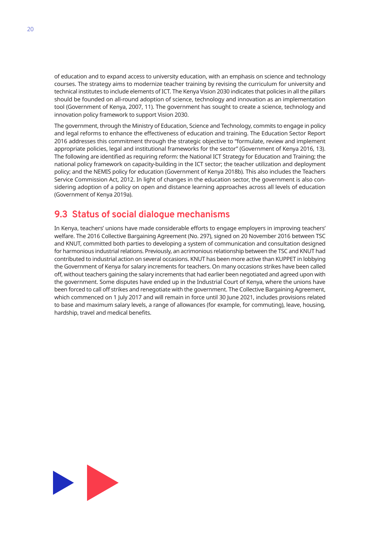<span id="page-27-0"></span>of education and to expand access to university education, with an emphasis on science and technology courses. The strategy aims to modernize teacher training by revising the curriculum for university and technical institutes to include elements of ICT. The Kenya Vision 2030 indicates that policies in all the pillars should be founded on all-round adoption of science, technology and innovation as an implementation tool (Government of Kenya, 2007, 11). The government has sought to create a science, technology and innovation policy framework to support Vision 2030.

The government, through the Ministry of Education, Science and Technology, commits to engage in policy and legal reforms to enhance the effectiveness of education and training. The Education Sector Report 2016 addresses this commitment through the strategic objective to "formulate, review and implement appropriate policies, legal and institutional frameworks for the sector" (Government of Kenya 2016, 13). The following are identified as requiring reform: the National ICT Strategy for Education and Training; the national policy framework on capacity-building in the ICT sector; the teacher utilization and deployment policy; and the NEMIS policy for education (Government of Kenya 2018b). This also includes the Teachers Service Commission Act, 2012. In light of changes in the education sector, the government is also considering adoption of a policy on open and distance learning approaches across all levels of education (Government of Kenya 2019a).

### **9.3 Status of social dialogue mechanisms**

In Kenya, teachers' unions have made considerable efforts to engage employers in improving teachers' welfare. The 2016 Collective Bargaining Agreement (No. 297), signed on 20 November 2016 between TSC and KNUT, committed both parties to developing a system of communication and consultation designed for harmonious industrial relations. Previously, an acrimonious relationship between the TSC and KNUT had contributed to industrial action on several occasions. KNUT has been more active than KUPPET in lobbying the Government of Kenya for salary increments for teachers. On many occasions strikes have been called off, without teachers gaining the salary increments that had earlier been negotiated and agreed upon with the government. Some disputes have ended up in the Industrial Court of Kenya, where the unions have been forced to call off strikes and renegotiate with the government. The Collective Bargaining Agreement, which commenced on 1 July 2017 and will remain in force until 30 June 2021, includes provisions related to base and maximum salary levels, a range of allowances (for example, for commuting), leave, housing, hardship, travel and medical benefits.

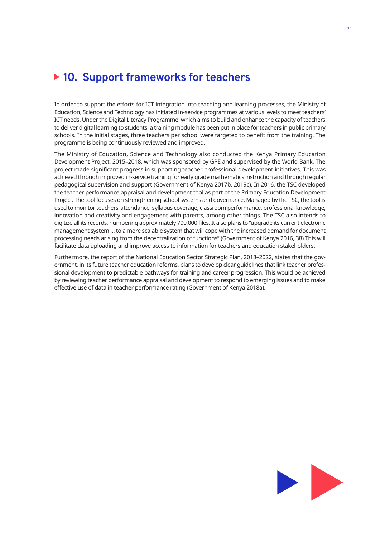# <span id="page-28-0"></span>**10. Support frameworks for teachers**

In order to support the efforts for ICT integration into teaching and learning processes, the Ministry of Education, Science and Technology has initiated in-service programmes at various levels to meet teachers' ICT needs. Under the Digital Literacy Programme, which aims to build and enhance the capacity of teachers to deliver digital learning to students, a training module has been put in place for teachers in public primary schools. In the initial stages, three teachers per school were targeted to benefit from the training. The programme is being continuously reviewed and improved.

The Ministry of Education, Science and Technology also conducted the Kenya Primary Education Development Project, 2015–2018, which was sponsored by GPE and supervised by the World Bank. The project made significant progress in supporting teacher professional development initiatives. This was achieved through improved in-service training for early grade mathematics instruction and through regular pedagogical supervision and support (Government of Kenya 2017b, 2019c). In 2016, the TSC developed the teacher performance appraisal and development tool as part of the Primary Education Development Project. The tool focuses on strengthening school systems and governance. Managed by the TSC, the tool is used to monitor teachers' attendance, syllabus coverage, classroom performance, professional knowledge, innovation and creativity and engagement with parents, among other things. The TSC also intends to digitize all its records, numbering approximately 700,000 files. It also plans to "upgrade its current electronic management system … to a more scalable system that will cope with the increased demand for document processing needs arising from the decentralization of functions" (Government of Kenya 2016, 38) This will facilitate data uploading and improve access to information for teachers and education stakeholders.

Furthermore, the report of the National Education Sector Strategic Plan, 2018–2022, states that the government, in its future teacher education reforms, plans to develop clear guidelines that link teacher professional development to predictable pathways for training and career progression. This would be achieved by reviewing teacher performance appraisal and development to respond to emerging issues and to make effective use of data in teacher performance rating (Government of Kenya 2018a).

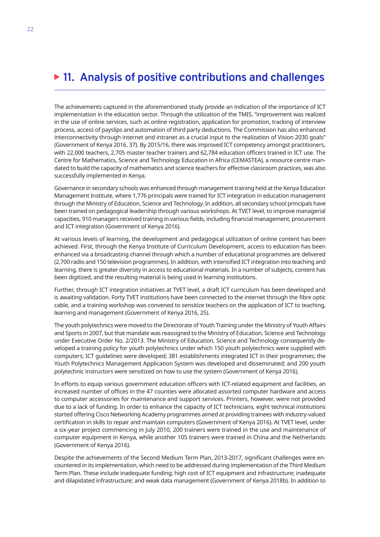## <span id="page-29-0"></span>**11. Analysis of positive contributions and challenges**

The achievements captured in the aforementioned study provide an indication of the importance of ICT implementation in the education sector. Through the utilization of the TMIS, "improvement was realized in the use of online services, such as online registration, application for promotion, tracking of interview process, access of payslips and automation of third party deductions. The Commission has also enhanced interconnectivity through internet and intranet as a crucial input to the realization of Vision 2030 goals" (Government of Kenya 2016, 37). By 2015/16, there was improved ICT competency amongst practitioners, with 22,000 teachers, 2,705 master teacher trainers and 62,784 education officers trained in ICT use. The Centre for Mathematics, Science and Technology Education in Africa (CEMASTEA), a resource centre mandated to build the capacity of mathematics and science teachers for effective classroom practices, was also successfully implemented in Kenya.

Governance in secondary schools was enhanced through management training held at the Kenya Education Management Institute, where 1,776 principals were trained for ICT integration in education management through the Ministry of Education, Science and Technology. In addition, all secondary school principals have been trained on pedagogical leadership through various workshops. At TVET level, to improve managerial capacities, 910 managers received training in various fields, including financial management, procurement and ICT integration (Government of Kenya 2016).

At various levels of learning, the development and pedagogical utilization of online content has been achieved. First, through the Kenya Institute of Curriculum Development, access to education has been enhanced via a broadcasting channel through which a number of educational programmes are delivered (2,700 radio and 150 television programmes). In addition, with intensified ICT integration into teaching and learning, there is greater diversity in access to educational materials. In a number of subjects, content has been digitized, and the resulting material is being used in learning institutions.

Further, through ICT integration initiatives at TVET level, a draft ICT curriculum has been developed and is awaiting validation. Forty TVET institutions have been connected to the internet through the fibre optic cable, and a training workshop was convened to sensitize teachers on the application of ICT to teaching, learning and management (Government of Kenya 2016, 25).

The youth polytechnics were moved to the Directorate of Youth Training under the Ministry of Youth Affairs and Sports in 2007, but that mandate was reassigned to the Ministry of Education, Science and Technology under Executive Order No. 2/2013. The Ministry of Education, Science and Technology consequently developed a training policy for youth polytechnics under which 150 youth polytechnics were supplied with computers; ICT guidelines were developed; 381 establishments integrated ICT in their programmes; the Youth Polytechnics Management Application System was developed and disseminated; and 200 youth polytechnic instructors were sensitized on how to use the system (Government of Kenya 2016).

In efforts to equip various government education officers with ICT-related equipment and facilities, an increased number of offices in the 47 counties were allocated assorted computer hardware and access to computer accessories for maintenance and support services. Printers, however, were not provided due to a lack of funding. In order to enhance the capacity of ICT technicians, eight technical institutions started offering Cisco Networking Academy programmes aimed at providing trainees with industry-valued certification in skills to repair and maintain computers (Government of Kenya 2016). At TVET level, under a six-year project commencing in July 2010, 200 trainers were trained in the use and maintenance of computer equipment in Kenya, while another 105 trainers were trained in China and the Netherlands (Government of Kenya 2016).

Despite the achievements of the Second Medium Term Plan, 2013-2017, significant challenges were encountered in its implementation, which need to be addressed during implementation of the Third Medium Term Plan. These include inadequate funding; high cost of ICT equipment and infrastructure; inadequate and dilapidated infrastructure; and weak data management (Government of Kenya 2018b). In addition to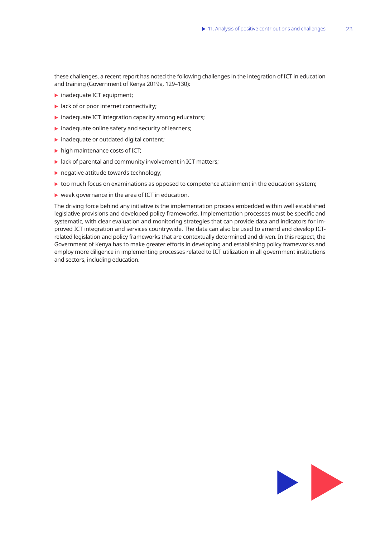these challenges, a recent report has noted the following challenges in the integration of ICT in education and training (Government of Kenya 2019a, 129–130):

- $\blacktriangleright$  inadequate ICT equipment;
- $\blacktriangleright$  lack of or poor internet connectivity;
- $\blacktriangleright$  inadequate ICT integration capacity among educators;
- $\blacktriangleright$  inadequate online safety and security of learners;
- $\blacktriangleright$  inadequate or outdated digital content;
- $\blacktriangleright$  high maintenance costs of ICT;
- $\blacktriangleright$  lack of parental and community involvement in ICT matters;
- $\blacktriangleright$  negative attitude towards technology;
- $\triangleright$  too much focus on examinations as opposed to competence attainment in the education system;
- $\triangleright$  weak governance in the area of ICT in education.

The driving force behind any initiative is the implementation process embedded within well established legislative provisions and developed policy frameworks. Implementation processes must be specific and systematic, with clear evaluation and monitoring strategies that can provide data and indicators for improved ICT integration and services countrywide. The data can also be used to amend and develop ICTrelated legislation and policy frameworks that are contextually determined and driven. In this respect, the Government of Kenya has to make greater efforts in developing and establishing policy frameworks and employ more diligence in implementing processes related to ICT utilization in all government institutions and sectors, including education.

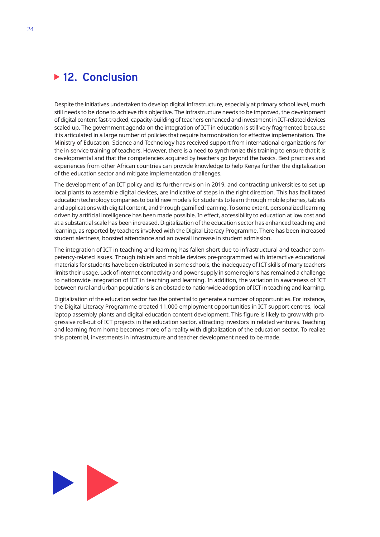## <span id="page-31-0"></span>**12. Conclusion**

Despite the initiatives undertaken to develop digital infrastructure, especially at primary school level, much still needs to be done to achieve this objective. The infrastructure needs to be improved, the development of digital content fast-tracked, capacity-building of teachers enhanced and investment in ICT-related devices scaled up. The government agenda on the integration of ICT in education is still very fragmented because it is articulated in a large number of policies that require harmonization for effective implementation. The Ministry of Education, Science and Technology has received support from international organizations for the in-service training of teachers. However, there is a need to synchronize this training to ensure that it is developmental and that the competencies acquired by teachers go beyond the basics. Best practices and experiences from other African countries can provide knowledge to help Kenya further the digitalization of the education sector and mitigate implementation challenges.

The development of an ICT policy and its further revision in 2019, and contracting universities to set up local plants to assemble digital devices, are indicative of steps in the right direction. This has facilitated education technology companies to build new models for students to learn through mobile phones, tablets and applications with digital content, and through gamified learning. To some extent, personalized learning driven by artificial intelligence has been made possible. In effect, accessibility to education at low cost and at a substantial scale has been increased. Digitalization of the education sector has enhanced teaching and learning, as reported by teachers involved with the Digital Literacy Programme. There has been increased student alertness, boosted attendance and an overall increase in student admission.

The integration of ICT in teaching and learning has fallen short due to infrastructural and teacher competency-related issues. Though tablets and mobile devices pre-programmed with interactive educational materials for students have been distributed in some schools, the inadequacy of ICT skills of many teachers limits their usage. Lack of internet connectivity and power supply in some regions has remained a challenge to nationwide integration of ICT in teaching and learning. In addition, the variation in awareness of ICT between rural and urban populations is an obstacle to nationwide adoption of ICT in teaching and learning.

Digitalization of the education sector has the potential to generate a number of opportunities. For instance, the Digital Literacy Programme created 11,000 employment opportunities in ICT support centres, local laptop assembly plants and digital education content development. This figure is likely to grow with progressive roll-out of ICT projects in the education sector, attracting investors in related ventures. Teaching and learning from home becomes more of a reality with digitalization of the education sector. To realize this potential, investments in infrastructure and teacher development need to be made.

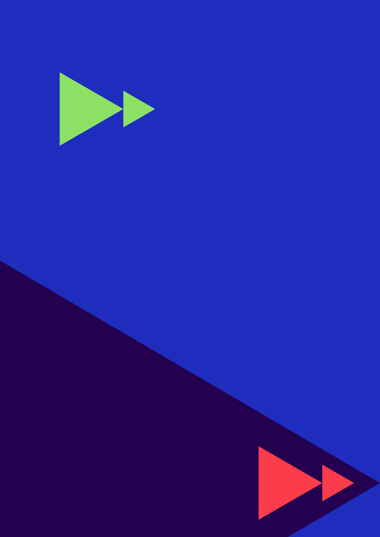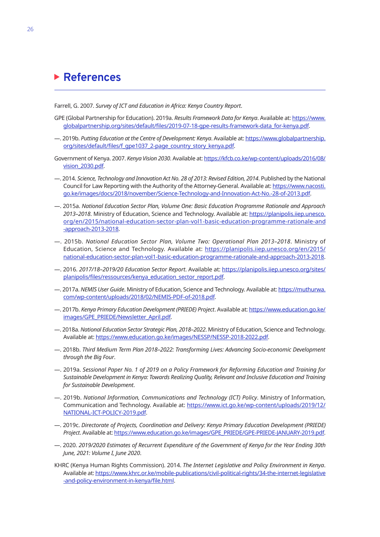### <span id="page-33-0"></span>**References**

Farrell, G. 2007. *Survey of ICT and Education in Africa: Kenya Country Report*.

- GPE (Global Partnership for Education). 2019a. *Results Framework Data for Kenya*. Available at: [https://www.](https://www.globalpartnership.org/sites/default/files/2019-07-18-gpe-results-framework-data_for-kenya.pdf) [globalpartnership.org/sites/default/files/2019-07-18-gpe-results-framework-data\\_for-kenya.pdf.](https://www.globalpartnership.org/sites/default/files/2019-07-18-gpe-results-framework-data_for-kenya.pdf)
- —. 2019b. *Putting Education at the Centre of Development: Kenya*. Available at: [https://www.globalpartnership.](https://www.globalpartnership.org/sites/default/files/f_gpe1037_2-page_country_story_kenya.pdf) [org/sites/default/files/f\\_gpe1037\\_2-page\\_country\\_story\\_kenya.pdf](https://www.globalpartnership.org/sites/default/files/f_gpe1037_2-page_country_story_kenya.pdf).
- Government of Kenya. 2007. *Kenya Vision 2030*. Available at: [https://kfcb.co.ke/wp-content/uploads/2016/08/](https://kfcb.co.ke/wp-content/uploads/2016/08/vision_2030.pdf) [vision\\_2030.pdf](https://kfcb.co.ke/wp-content/uploads/2016/08/vision_2030.pdf).
- —. 2014. *Science, Technology and Innovation Act No. 28 of 2013: Revised Edition, 2014*. Published by the National Council for Law Reporting with the Authority of the Attorney-General. Available at: [https://www.nacosti.](https://www.nacosti.go.ke/images/docs/2018/november/Science-Technology-and-Innovation-Act-No.-28-of-2013.pdf) [go.ke/images/docs/2018/november/Science-Technology-and-Innovation-Act-No.-28-of-2013.pdf.](https://www.nacosti.go.ke/images/docs/2018/november/Science-Technology-and-Innovation-Act-No.-28-of-2013.pdf)
- —. 2015a. *National Education Sector Plan, Volume One: Basic Education Programme Rationale and Approach 2013–2018*. Ministry of Education, Science and Technology. Available at: [https://planipolis.iiep.unesco.](https://planipolis.iiep.unesco.org/en/2015/national-education-sector-plan-vol1-basic-education-programme-rationale-and-approach-2013-2018) [org/en/2015/national-education-sector-plan-vol1-basic-education-programme-rationale-and](https://planipolis.iiep.unesco.org/en/2015/national-education-sector-plan-vol1-basic-education-programme-rationale-and-approach-2013-2018) [-approach-2013-2018.](https://planipolis.iiep.unesco.org/en/2015/national-education-sector-plan-vol1-basic-education-programme-rationale-and-approach-2013-2018)
- —. 2015b. *National Education Sector Plan, Volume Two: Operational Plan 2013–2018*. Ministry of Education, Science and Technology. Available at: [https://planipolis.iiep.unesco.org/en/2015/](https://planipolis.iiep.unesco.org/en/2015/national-education-sector-plan-vol1-basic-education-programme-rationale-and-approach-2013-2018) [national-education-sector-plan-vol1-basic-education-programme-rationale-and-approach-2013-2018.](https://planipolis.iiep.unesco.org/en/2015/national-education-sector-plan-vol1-basic-education-programme-rationale-and-approach-2013-2018)
- —. 2016. *2017/18–2019/20 Education Sector Report*. Available at: [https://planipolis.iiep.unesco.org/sites/](https://planipolis.iiep.unesco.org/sites/planipolis/files/ressources/kenya_education_sector_report.pdf) [planipolis/files/ressources/kenya\\_education\\_sector\\_report.pdf](https://planipolis.iiep.unesco.org/sites/planipolis/files/ressources/kenya_education_sector_report.pdf).
- —. 2017a. *NEMIS User Guide*. Ministry of Education, Science and Technology. Available at: [https://muthurwa.](https://muthurwa.com/wp-content/uploads/2018/02/NEMIS-PDF-of-2018.pdf) [com/wp-content/uploads/2018/02/NEMIS-PDF-of-2018.pdf](https://muthurwa.com/wp-content/uploads/2018/02/NEMIS-PDF-of-2018.pdf).
- —. 2017b. *Kenya Primary Education Development (PRIEDE) Project*. Available at: [https://www.education.go.ke/](https://www.education.go.ke/images/GPE_PRIEDE/Newsletter_April.pdf) [images/GPE\\_PRIEDE/Newsletter\\_April.pdf](https://www.education.go.ke/images/GPE_PRIEDE/Newsletter_April.pdf).
- —. 2018a. *National Education Sector Strategic Plan, 2018–2022*. Ministry of Education, Science and Technology. Available at: [https://www.education.go.ke/images/NESSP/NESSP-2018-2022.pdf.](https://www.education.go.ke/images/NESSP/NESSP-2018-2022.pdf)
- —. 2018b. *Third Medium Term Plan 2018–2022: Transforming Lives: Advancing Socio-economic Development through the Big Four*.
- —. 2019a. *Sessional Paper No. 1 of 2019 on a Policy Framework for Reforming Education and Training for Sustainable Development in Kenya: Towards Realizing Quality, Relevant and Inclusive Education and Training for Sustainable Development*.
- —. 2019b. *National Information, Communications and Technology (ICT) Policy*. Ministry of Information, Communication and Technology. Available at: [https://www.ict.go.ke/wp-content/uploads/2019/12/](https://www.ict.go.ke/wp-content/uploads/2019/12/NATIONAL-ICT-POLICY-2019.pdf) [NATIONAL-ICT-POLICY-2019.pdf.](https://www.ict.go.ke/wp-content/uploads/2019/12/NATIONAL-ICT-POLICY-2019.pdf)
- —. 2019c. *Directorate of Projects, Coordination and Delivery: Kenya Primary Education Development (PRIEDE) Project*. Available at: [https://www.education.go.ke/images/GPE\\_PRIEDE/GPE-PRIEDE-JANUARY-2019.pdf.](https://www.education.go.ke/images/GPE_PRIEDE/GPE-PRIEDE-JANUARY-2019.pdf)
- —. 2020. *2019/2020 Estimates of Recurrent Expenditure of the Government of Kenya for the Year Ending 30th June, 2021: Volume I, June 2020*.
- KHRC (Kenya Human Rights Commission). 2014. *The Internet Legislative and Policy Environment in Kenya*. Available at: [https://www.khrc.or.ke/mobile-publications/civil-political-rights/34-the-internet-legislative](https://www.khrc.or.ke/mobile-publications/civil-political-rights/34-the-internet-legislative-and-policy-environment-in-kenya/file.html) [-and-policy-environment-in-kenya/file.html](https://www.khrc.or.ke/mobile-publications/civil-political-rights/34-the-internet-legislative-and-policy-environment-in-kenya/file.html).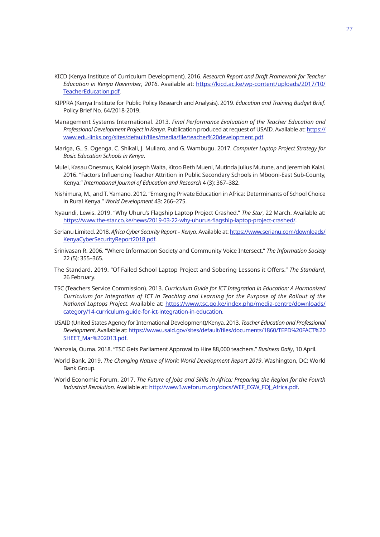- KICD (Kenya Institute of Curriculum Development). 2016. *Research Report and Draft Framework for Teacher Education in Kenya November, 2016*. Available at: [https://kicd.ac.ke/wp-content/uploads/2017/10/](https://kicd.ac.ke/wp-content/uploads/2017/10/TeacherEducation.pdf) [TeacherEducation.pdf](https://kicd.ac.ke/wp-content/uploads/2017/10/TeacherEducation.pdf).
- KIPPRA (Kenya Institute for Public Policy Research and Analysis). 2019. *Education and Training Budget Brief*. Policy Brief No. 64/2018-2019.
- Management Systems International. 2013. *Final Performance Evaluation of the Teacher Education and Professional Development Project in Kenya*. Publication produced at request of USAID. Available at: [https://](https://www.edu-links.org/sites/default/files/media/file/teacher%20development.pdf) [www.edu-links.org/sites/default/files/media/file/teacher%20development.pdf](https://www.edu-links.org/sites/default/files/media/file/teacher%20development.pdf).
- Mariga, G., S. Ogenga, C. Shikali, J. Muliaro, and G. Wambugu. 2017. *Computer Laptop Project Strategy for Basic Education Schools in Kenya*.
- Mulei, Kasau Onesmus, Kaloki Joseph Waita, Kitoo Beth Mueni, Mutinda Julius Mutune, and Jeremiah Kalai. 2016. "Factors Influencing Teacher Attrition in Public Secondary Schools in Mbooni-East Sub-County, Kenya." *International Journal of Education and Research* 4 (3): 367–382.
- Nishimura, M., and T. Yamano. 2012. "Emerging Private Education in Africa: Determinants of School Choice in Rural Kenya." *World Development* 43: 266–275.
- Nyaundi, Lewis. 2019. "Why Uhuru's Flagship Laptop Project Crashed." *The Star*, 22 March. Available at: [https://www.the-star.co.ke/news/2019-03-22-why-uhurus-flagship-laptop-project-crashed/.](https://www.the-star.co.ke/news/2019-03-22-why-uhurus-flagship-laptop-project-crashed/)
- Serianu Limited. 2018. *Africa Cyber Security Report Kenya*. Available at: [https://www.serianu.com/downloads/](https://www.serianu.com/downloads/KenyaCyberSecurityReport2018.pdf) [KenyaCyberSecurityReport2018.pdf](https://www.serianu.com/downloads/KenyaCyberSecurityReport2018.pdf).
- Srinivasan R. 2006. "Where Information Society and Community Voice Intersect." *The Information Society*  22 (5): 355–365.
- The Standard. 2019. "Of Failed School Laptop Project and Sobering Lessons it Offers." *The Standard*, 26 February.
- TSC (Teachers Service Commission). 2013. *Curriculum Guide for ICT Integration in Education: A Harmonized Curriculum for Integration of ICT in Teaching and Learning for the Purpose of the Rollout of the National Laptops Project*. Available at: [https://www.tsc.go.ke/index.php/media-centre/downloads/](https://www.tsc.go.ke/index.php/media-centre/downloads/category/14-curriculum-guide-for-ict-integration-in-education) [category/14-curriculum-guide-for-ict-integration-in-education](https://www.tsc.go.ke/index.php/media-centre/downloads/category/14-curriculum-guide-for-ict-integration-in-education).
- USAID (United States Agency for International Development)/Kenya. 2013. *Teacher Education and Professional Development*. Available at: [https://www.usaid.gov/sites/default/files/documents/1860/TEPD%20FACT%20](https://www.usaid.gov/sites/default/files/documents/1860/TEPD%20FACT%20SHEET_Mar%202013.pdf) [SHEET\\_Mar%202013.pdf.](https://www.usaid.gov/sites/default/files/documents/1860/TEPD%20FACT%20SHEET_Mar%202013.pdf)
- Wanzala, Ouma. 2018. "TSC Gets Parliament Approval to Hire 88,000 teachers." *Business Daily*, 10 April.
- World Bank. 2019. *The Changing Nature of Work: World Development Report 2019*. Washington, DC: World Bank Group.
- World Economic Forum. 2017. *The Future of Jobs and Skills in Africa: Preparing the Region for the Fourth Industrial Revolution*. Available at: [http://www3.weforum.org/docs/WEF\\_EGW\\_FOJ\\_Africa.pdf](http://www3.weforum.org/docs/WEF_EGW_FOJ_Africa.pdf).